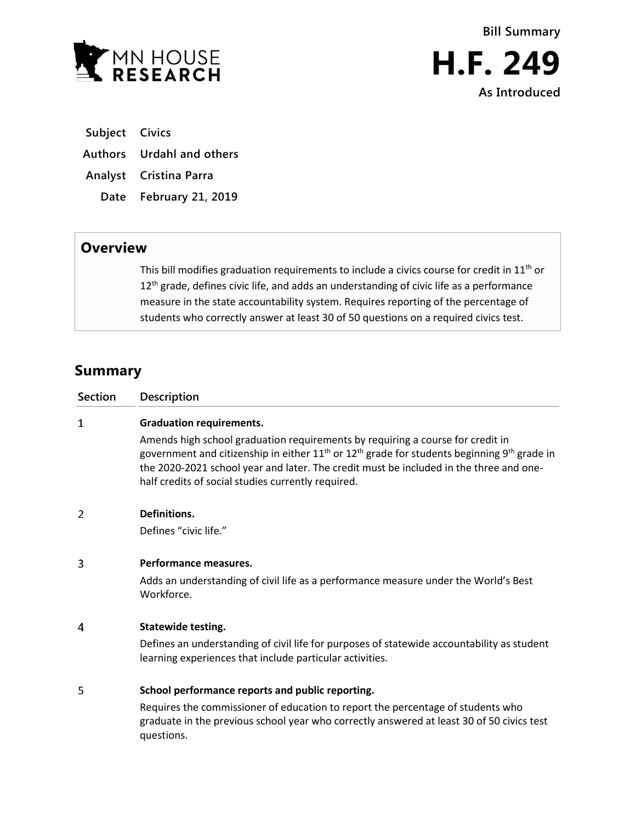

**Subject Civics**

**Authors Urdahl and others**

**Analyst Cristina Parra**

**Date February 21, 2019**

## **Overview**

This bill modifies graduation requirements to include a civics course for credit in  $11<sup>th</sup>$  or 12<sup>th</sup> grade, defines civic life, and adds an understanding of civic life as a performance measure in the state accountability system. Requires reporting of the percentage of students who correctly answer at least 30 of 50 questions on a required civics test.

## **Summary**

| <b>Section</b> | Description                                                                                                                                                                                                                                                                                                                                   |
|----------------|-----------------------------------------------------------------------------------------------------------------------------------------------------------------------------------------------------------------------------------------------------------------------------------------------------------------------------------------------|
| 1              | <b>Graduation requirements.</b>                                                                                                                                                                                                                                                                                                               |
|                | Amends high school graduation requirements by requiring a course for credit in<br>government and citizenship in either $11th$ or $12th$ grade for students beginning 9 <sup>th</sup> grade in<br>the 2020-2021 school year and later. The credit must be included in the three and one-<br>half credits of social studies currently required. |
| 2              | Definitions.                                                                                                                                                                                                                                                                                                                                  |
|                | Defines "civic life."                                                                                                                                                                                                                                                                                                                         |
| 3              | Performance measures.                                                                                                                                                                                                                                                                                                                         |
|                | Adds an understanding of civil life as a performance measure under the World's Best<br>Workforce.                                                                                                                                                                                                                                             |
| 4              | <b>Statewide testing.</b>                                                                                                                                                                                                                                                                                                                     |
|                | Defines an understanding of civil life for purposes of statewide accountability as student<br>learning experiences that include particular activities.                                                                                                                                                                                        |
| 5              | School performance reports and public reporting.                                                                                                                                                                                                                                                                                              |
|                | Requires the commissioner of education to report the percentage of students who<br>graduate in the previous school year who correctly answered at least 30 of 50 civics test<br>questions.                                                                                                                                                    |